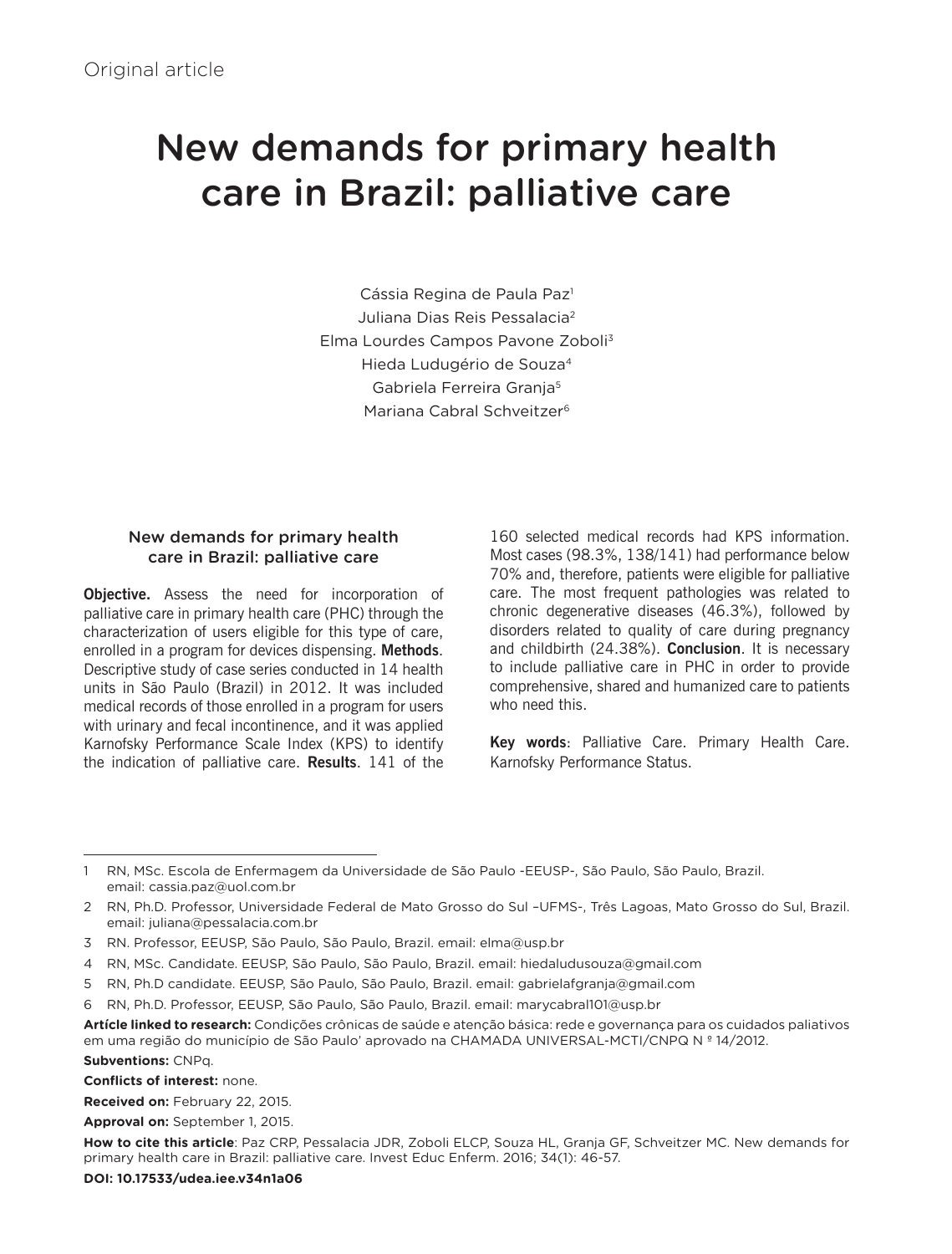# New demands for primary health care in Brazil: palliative care

Cássia Regina de Paula Paz<sup>1</sup> Juliana Dias Reis Pessalacia2 Elma Lourdes Campos Pavone Zoboli3 Hieda Ludugério de Souza4 Gabriela Ferreira Granja5 Mariana Cabral Schveitzer6

### New demands for primary health care in Brazil: palliative care

**Objective.** Assess the need for incorporation of palliative care in primary health care (PHC) through the characterization of users eligible for this type of care, enrolled in a program for devices dispensing. **Methods**. Descriptive study of case series conducted in 14 health units in São Paulo (Brazil) in 2012. It was included medical records of those enrolled in a program for users with urinary and fecal incontinence, and it was applied Karnofsky Performance Scale Index (KPS) to identify the indication of palliative care. **Results**. 141 of the

160 selected medical records had KPS information. Most cases (98.3%, 138/141) had performance below 70% and, therefore, patients were eligible for palliative care. The most frequent pathologies was related to chronic degenerative diseases (46.3%), followed by disorders related to quality of care during pregnancy and childbirth (24.38%). **Conclusion**. It is necessary to include palliative care in PHC in order to provide comprehensive, shared and humanized care to patients who need this.

**Key words**: Palliative Care. Primary Health Care. Karnofsky Performance Status.

**Subventions:** CNPq.

**Conflicts of interest:** none.

**Received on:** February 22, 2015.

**Approval on:** September 1, 2015.

<sup>1</sup> RN, MSc. Escola de Enfermagem da Universidade de São Paulo -EEUSP-, São Paulo, São Paulo, Brazil. email: cassia.paz@uol.com.br

<sup>2</sup> RN, Ph.D. Professor, Universidade Federal de Mato Grosso do Sul –UFMS-, Três Lagoas, Mato Grosso do Sul, Brazil. email: juliana@pessalacia.com.br

<sup>3</sup> RN. Professor, EEUSP, São Paulo, São Paulo, Brazil. email: elma@usp.br

<sup>4</sup> RN, MSc. Candidate. EEUSP, São Paulo, São Paulo, Brazil. email: hiedaludusouza@gmail.com

<sup>5</sup> RN, Ph.D candidate. EEUSP, São Paulo, São Paulo, Brazil. email: gabrielafgranja@gmail.com

<sup>6</sup> RN, Ph.D. Professor, EEUSP, São Paulo, São Paulo, Brazil. email: marycabral101@usp.br

**Artícle linked to research:** Condições crônicas de saúde e atenção básica: rede e governança para os cuidados paliativos em uma região do município de São Paulo' aprovado na CHAMADA UNIVERSAL-MCTI/CNPQ N º 14/2012.

**How to cite this article**: Paz CRP, Pessalacia JDR, Zoboli ELCP, Souza HL, Granja GF, Schveitzer MC. New demands for primary health care in Brazil: palliative care. Invest Educ Enferm. 2016; 34(1): 46-57.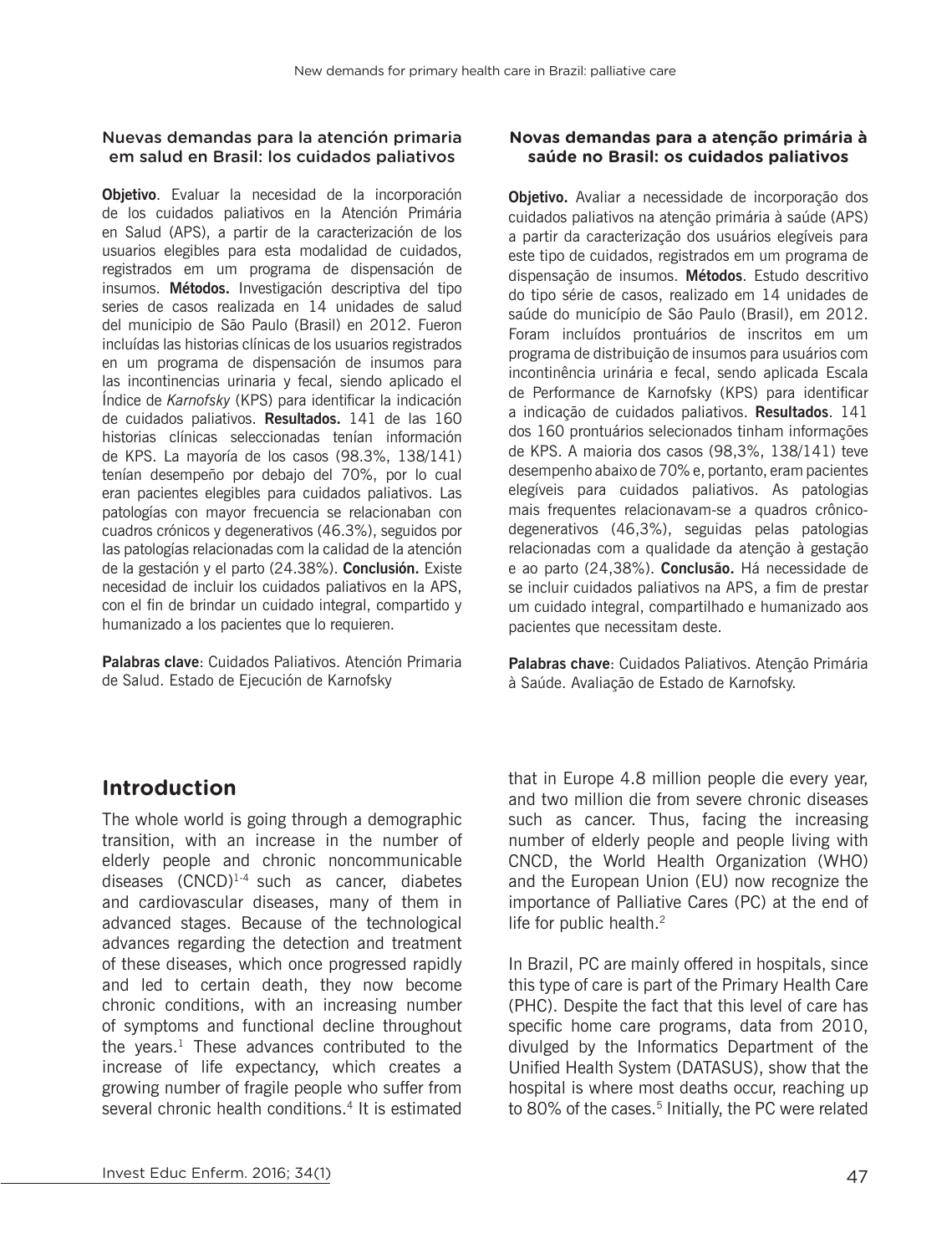#### Nuevas demandas para la atención primaria em salud en Brasil: los cuidados paliativos

**Objetivo**. Evaluar la necesidad de la incorporación de los cuidados paliativos en la Atención Primária en Salud (APS), a partir de la caracterización de los usuarios elegibles para esta modalidad de cuidados, registrados em um programa de dispensación de insumos. **Métodos.** Investigación descriptiva del tipo series de casos realizada en 14 unidades de salud del municipio de São Paulo (Brasil) en 2012. Fueron incluídas las historias clínicas de los usuarios registrados en um programa de dispensación de insumos para las incontinencias urinaria y fecal, siendo aplicado el Índice de *Karnofsky* (KPS) para identificar la indicación de cuidados paliativos. **Resultados.** 141 de las 160 historias clínicas seleccionadas tenían información de KPS. La mayoría de los casos (98.3%, 138/141) tenían desempeño por debajo del 70%, por lo cual eran pacientes elegibles para cuidados paliativos. Las patologías con mayor frecuencia se relacionaban con cuadros crónicos y degenerativos (46.3%), seguidos por las patologías relacionadas com la calidad de la atención de la gestación y el parto (24.38%). **Conclusión.** Existe necesidad de incluir los cuidados paliativos en la APS, con el fin de brindar un cuidado integral, compartido y humanizado a los pacientes que lo requieren.

**Palabras clave**: Cuidados Paliativos. Atención Primaria de Salud. Estado de Ejecución de Karnofsky

#### **Novas demandas para a atenção primária à saúde no Brasil: os cuidados paliativos**

**Objetivo.** Avaliar a necessidade de incorporação dos cuidados paliativos na atenção primária à saúde (APS) a partir da caracterização dos usuários elegíveis para este tipo de cuidados, registrados em um programa de dispensação de insumos. **Métodos**. Estudo descritivo do tipo série de casos, realizado em 14 unidades de saúde do município de São Paulo (Brasil), em 2012. Foram incluídos prontuários de inscritos em um programa de distribuição de insumos para usuários com incontinência urinária e fecal, sendo aplicada Escala de Performance de Karnofsky (KPS) para identificar a indicação de cuidados paliativos. **Resultados**. 141 dos 160 prontuários selecionados tinham informações de KPS. A maioria dos casos (98,3%, 138/141) teve desempenho abaixo de 70% e, portanto, eram pacientes elegíveis para cuidados paliativos. As patologias mais frequentes relacionavam-se a quadros crônicodegenerativos (46,3%), seguidas pelas patologias relacionadas com a qualidade da atenção à gestação e ao parto (24,38%). **Conclusão.** Há necessidade de se incluir cuidados paliativos na APS, a fim de prestar um cuidado integral, compartilhado e humanizado aos pacientes que necessitam deste.

**Palabras chave**: Cuidados Paliativos. Atenção Primária à Saúde. Avaliação de Estado de Karnofsky.

## **Introduction**

The whole world is going through a demographic transition, with an increase in the number of elderly people and chronic noncommunicable diseases  $(CNCD)^{1.4}$  such as cancer, diabetes and cardiovascular diseases, many of them in advanced stages. Because of the technological advances regarding the detection and treatment of these diseases, which once progressed rapidly and led to certain death, they now become chronic conditions, with an increasing number of symptoms and functional decline throughout the years. $<sup>1</sup>$  These advances contributed to the</sup> increase of life expectancy, which creates a growing number of fragile people who suffer from several chronic health conditions.<sup>4</sup> It is estimated that in Europe 4.8 million people die every year, and two million die from severe chronic diseases such as cancer. Thus, facing the increasing number of elderly people and people living with CNCD, the World Health Organization (WHO) and the European Union (EU) now recognize the importance of Palliative Cares (PC) at the end of life for public health.<sup>2</sup>

In Brazil, PC are mainly offered in hospitals, since this type of care is part of the Primary Health Care (PHC). Despite the fact that this level of care has specific home care programs, data from 2010, divulged by the Informatics Department of the Unified Health System (DATASUS), show that the hospital is where most deaths occur, reaching up to 80% of the cases.<sup>5</sup> Initially, the PC were related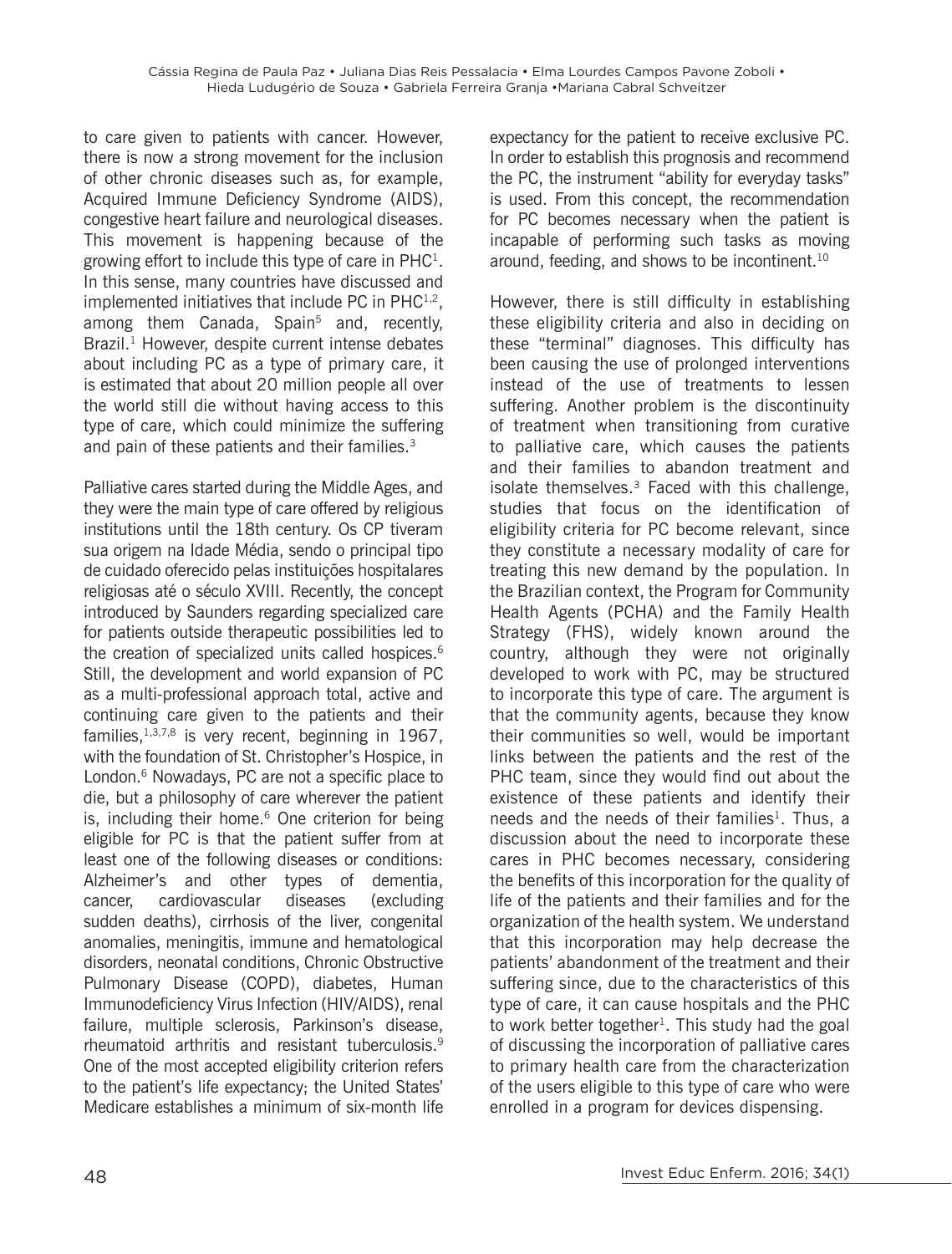to care given to patients with cancer. However, there is now a strong movement for the inclusion of other chronic diseases such as, for example, Acquired Immune Deficiency Syndrome (AIDS), congestive heart failure and neurological diseases. This movement is happening because of the growing effort to include this type of care in  $PHC<sup>1</sup>$ . In this sense, many countries have discussed and implemented initiatives that include PC in  $PHC^{1,2}$ , among them Canada, Spain<sup>5</sup> and, recently, Brazil.<sup>1</sup> However, despite current intense debates about including PC as a type of primary care, it is estimated that about 20 million people all over the world still die without having access to this type of care, which could minimize the suffering and pain of these patients and their families.<sup>3</sup>

Palliative cares started during the Middle Ages, and they were the main type of care offered by religious institutions until the 18th century. Os CP tiveram sua origem na Idade Média, sendo o principal tipo de cuidado oferecido pelas instituições hospitalares religiosas até o século XVIII. Recently, the concept introduced by Saunders regarding specialized care for patients outside therapeutic possibilities led to the creation of specialized units called hospices.<sup>6</sup> Still, the development and world expansion of PC as a multi-professional approach total, active and continuing care given to the patients and their families, $1,3,7,8$  is very recent, beginning in 1967, with the foundation of St. Christopher's Hospice, in London.<sup>6</sup> Nowadays, PC are not a specific place to die, but a philosophy of care wherever the patient is, including their home. $6$  One criterion for being eligible for PC is that the patient suffer from at least one of the following diseases or conditions: Alzheimer's and other types of dementia, cancer, cardiovascular diseases (excluding sudden deaths), cirrhosis of the liver, congenital anomalies, meningitis, immune and hematological disorders, neonatal conditions, Chronic Obstructive Pulmonary Disease (COPD), diabetes, Human Immunodeficiency Virus Infection (HIV/AIDS), renal failure, multiple sclerosis, Parkinson's disease, rheumatoid arthritis and resistant tuberculosis.<sup>9</sup> One of the most accepted eligibility criterion refers to the patient's life expectancy; the United States' Medicare establishes a minimum of six-month life

expectancy for the patient to receive exclusive PC. In order to establish this prognosis and recommend the PC, the instrument "ability for everyday tasks" is used. From this concept, the recommendation for PC becomes necessary when the patient is incapable of performing such tasks as moving around, feeding, and shows to be incontinent.<sup>10</sup>

However, there is still difficulty in establishing these eligibility criteria and also in deciding on these "terminal" diagnoses. This difficulty has been causing the use of prolonged interventions instead of the use of treatments to lessen suffering. Another problem is the discontinuity of treatment when transitioning from curative to palliative care, which causes the patients and their families to abandon treatment and isolate themselves. $3$  Faced with this challenge, studies that focus on the identification of eligibility criteria for PC become relevant, since they constitute a necessary modality of care for treating this new demand by the population. In the Brazilian context, the Program for Community Health Agents (PCHA) and the Family Health Strategy (FHS), widely known around the country, although they were not originally developed to work with PC, may be structured to incorporate this type of care. The argument is that the community agents, because they know their communities so well, would be important links between the patients and the rest of the PHC team, since they would find out about the existence of these patients and identify their needs and the needs of their families<sup>1</sup>. Thus, a discussion about the need to incorporate these cares in PHC becomes necessary, considering the benefits of this incorporation for the quality of life of the patients and their families and for the organization of the health system. We understand that this incorporation may help decrease the patients' abandonment of the treatment and their suffering since, due to the characteristics of this type of care, it can cause hospitals and the PHC to work better together<sup>1</sup>. This study had the goal of discussing the incorporation of palliative cares to primary health care from the characterization of the users eligible to this type of care who were enrolled in a program for devices dispensing.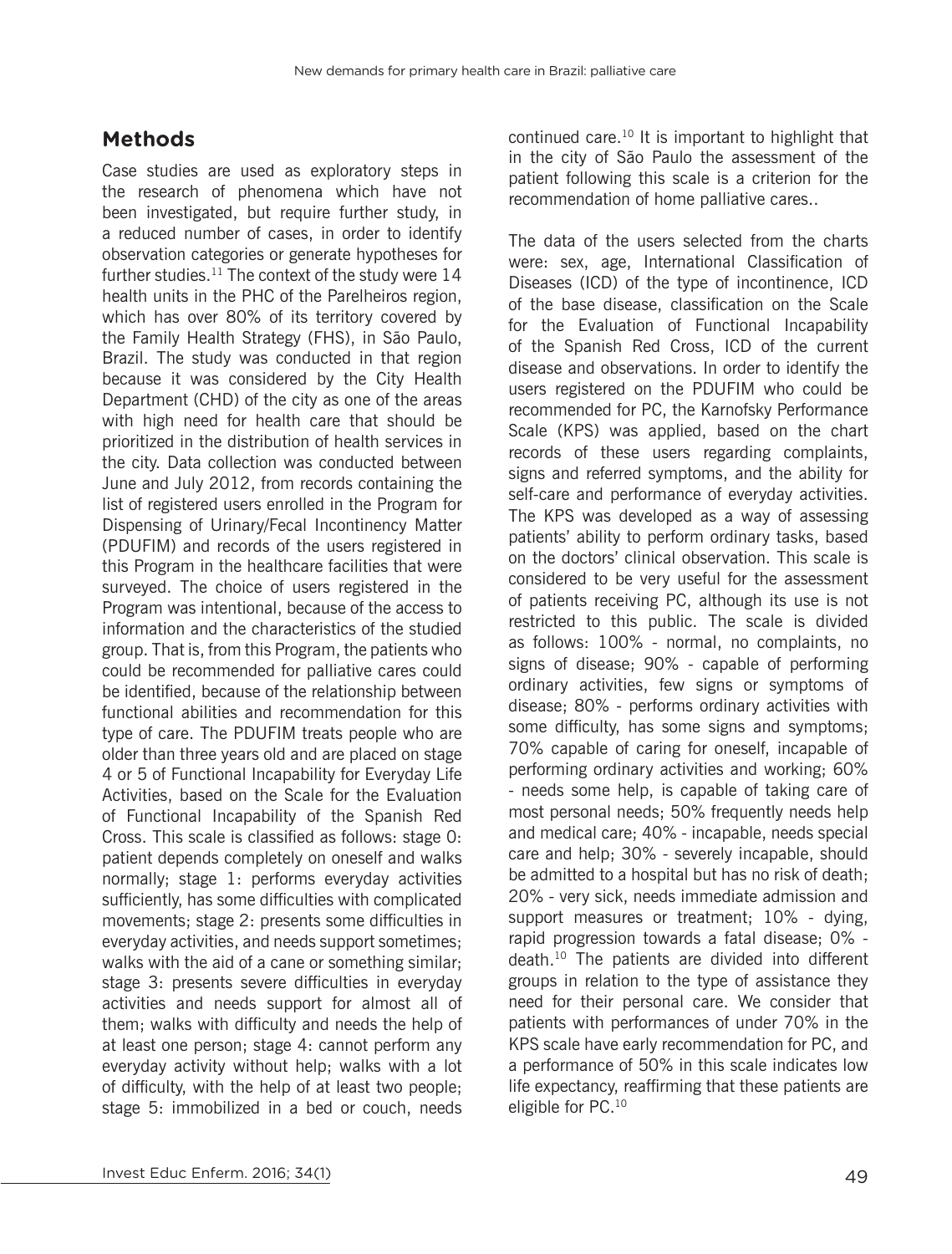# **Methods**

Case studies are used as exploratory steps in the research of phenomena which have not been investigated, but require further study, in a reduced number of cases, in order to identify observation categories or generate hypotheses for further studies. $^{11}$  The context of the study were 14 health units in the PHC of the Parelheiros region, which has over 80% of its territory covered by the Family Health Strategy (FHS), in São Paulo, Brazil. The study was conducted in that region because it was considered by the City Health Department (CHD) of the city as one of the areas with high need for health care that should be prioritized in the distribution of health services in the city. Data collection was conducted between June and July 2012, from records containing the list of registered users enrolled in the Program for Dispensing of Urinary/Fecal Incontinency Matter (PDUFIM) and records of the users registered in this Program in the healthcare facilities that were surveyed. The choice of users registered in the Program was intentional, because of the access to information and the characteristics of the studied group. That is, from this Program, the patients who could be recommended for palliative cares could be identified, because of the relationship between functional abilities and recommendation for this type of care. The PDUFIM treats people who are older than three years old and are placed on stage 4 or 5 of Functional Incapability for Everyday Life Activities, based on the Scale for the Evaluation of Functional Incapability of the Spanish Red Cross. This scale is classified as follows: stage 0: patient depends completely on oneself and walks normally; stage 1: performs everyday activities sufficiently, has some difficulties with complicated movements; stage 2: presents some difficulties in everyday activities, and needs support sometimes; walks with the aid of a cane or something similar; stage 3: presents severe difficulties in everyday activities and needs support for almost all of them; walks with difficulty and needs the help of at least one person; stage 4: cannot perform any everyday activity without help; walks with a lot of difficulty, with the help of at least two people; stage 5: immobilized in a bed or couch, needs continued care.10 It is important to highlight that in the city of São Paulo the assessment of the patient following this scale is a criterion for the recommendation of home palliative cares..

The data of the users selected from the charts were: sex, age, International Classification of Diseases (ICD) of the type of incontinence, ICD of the base disease, classification on the Scale for the Evaluation of Functional Incapability of the Spanish Red Cross, ICD of the current disease and observations. In order to identify the users registered on the PDUFIM who could be recommended for PC, the Karnofsky Performance Scale (KPS) was applied, based on the chart records of these users regarding complaints, signs and referred symptoms, and the ability for self-care and performance of everyday activities. The KPS was developed as a way of assessing patients' ability to perform ordinary tasks, based on the doctors' clinical observation. This scale is considered to be very useful for the assessment of patients receiving PC, although its use is not restricted to this public. The scale is divided as follows: 100% - normal, no complaints, no signs of disease; 90% - capable of performing ordinary activities, few signs or symptoms of disease; 80% - performs ordinary activities with some difficulty, has some signs and symptoms; 70% capable of caring for oneself, incapable of performing ordinary activities and working; 60% - needs some help, is capable of taking care of most personal needs; 50% frequently needs help and medical care; 40% - incapable, needs special care and help; 30% - severely incapable, should be admitted to a hospital but has no risk of death; 20% - very sick, needs immediate admission and support measures or treatment; 10% - dying, rapid progression towards a fatal disease; 0% death.10 The patients are divided into different groups in relation to the type of assistance they need for their personal care. We consider that patients with performances of under 70% in the KPS scale have early recommendation for PC, and a performance of 50% in this scale indicates low life expectancy, reaffirming that these patients are eligible for PC.10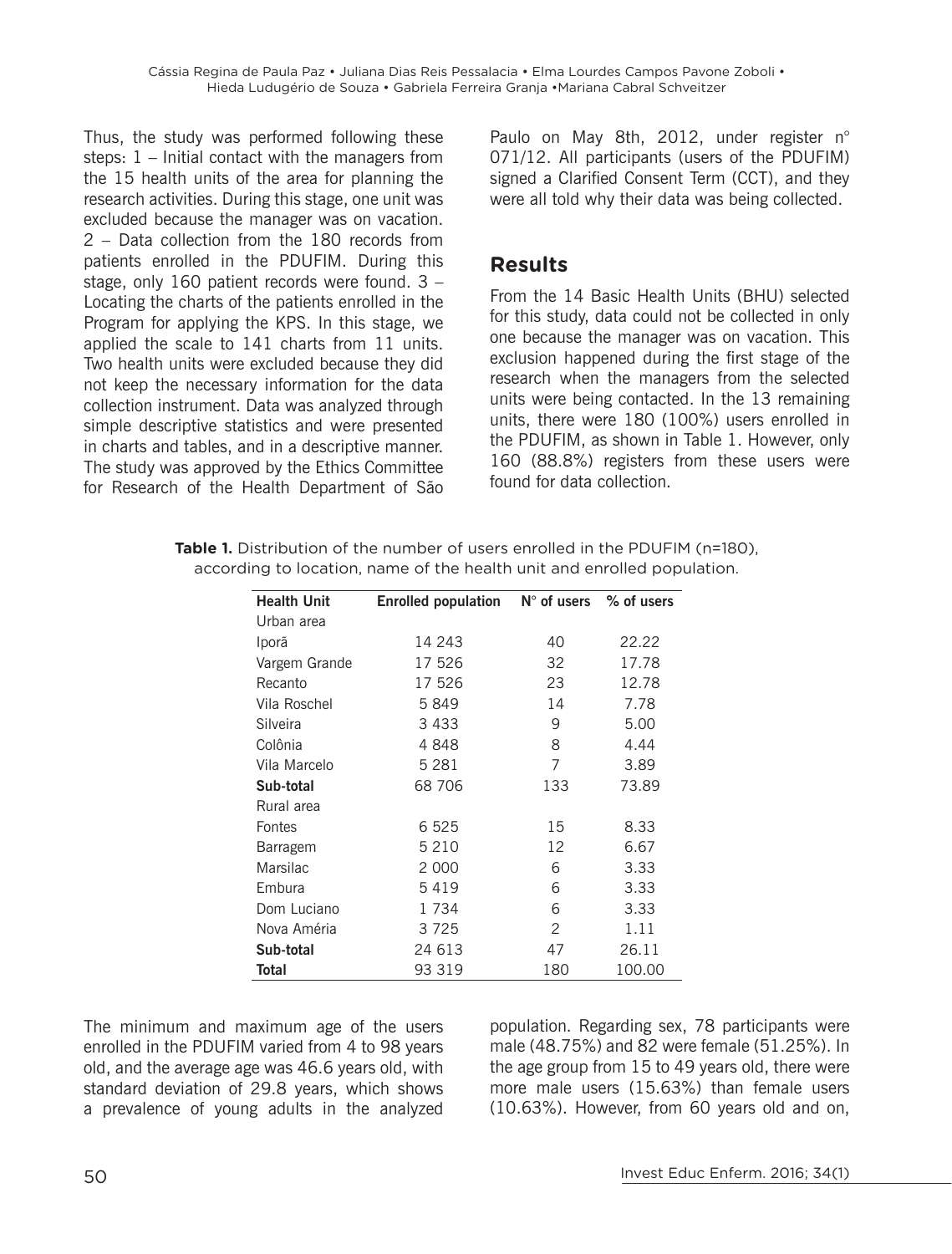Thus, the study was performed following these steps: 1 – Initial contact with the managers from the 15 health units of the area for planning the research activities. During this stage, one unit was excluded because the manager was on vacation. 2 – Data collection from the 180 records from patients enrolled in the PDUFIM. During this stage, only 160 patient records were found. 3 – Locating the charts of the patients enrolled in the Program for applying the KPS. In this stage, we applied the scale to 141 charts from 11 units. Two health units were excluded because they did not keep the necessary information for the data collection instrument. Data was analyzed through simple descriptive statistics and were presented in charts and tables, and in a descriptive manner. The study was approved by the Ethics Committee for Research of the Health Department of São Paulo on May 8th, 2012, under register n° 071/12. All participants (users of the PDUFIM) signed a Clarified Consent Term (CCT), and they were all told why their data was being collected.

## **Results**

From the 14 Basic Health Units (BHU) selected for this study, data could not be collected in only one because the manager was on vacation. This exclusion happened during the first stage of the research when the managers from the selected units were being contacted. In the 13 remaining units, there were 180 (100%) users enrolled in the PDUFIM, as shown in Table 1. However, only 160 (88.8%) registers from these users were found for data collection.

|  |                                                                         | <b>Table 1.</b> Distribution of the number of users enrolled in the PDUFIM (n=180), |
|--|-------------------------------------------------------------------------|-------------------------------------------------------------------------------------|
|  | according to location, name of the health unit and enrolled population. |                                                                                     |

| <b>Health Unit</b> | <b>Enrolled population</b> | $N^{\circ}$ of users $\%$ of users |        |
|--------------------|----------------------------|------------------------------------|--------|
| Urban area         |                            |                                    |        |
| Iporã              | 14 243                     | 40                                 | 22.22  |
| Vargem Grande      | 17 526                     | 32                                 | 17.78  |
| Recanto            | 17 526                     | 23                                 | 12.78  |
| Vila Roschel       | 5849                       | 14                                 | 7.78   |
| Silveira           | 3 4 3 3                    | 9                                  | 5.00   |
| Colônia            | 4848                       | 8                                  | 4.44   |
| Vila Marcelo       | 5 2 8 1                    | 7                                  | 3.89   |
| Sub-total          | 68 706                     | 133                                | 73.89  |
| Rural area         |                            |                                    |        |
| Fontes             | 6 5 2 5                    | 15                                 | 8.33   |
| Barragem           | 5 2 1 0                    | 12                                 | 6.67   |
| Marsilac           | 2 0 0 0                    | 6                                  | 3.33   |
| Embura             | 5419                       | 6                                  | 3.33   |
| Dom Luciano        | 1734                       | 6                                  | 3.33   |
| Nova Améria        | 3725                       | 2                                  | 1.11   |
| Sub-total          | 24 613                     | 47                                 | 26.11  |
| Total              | 93 319                     | 180                                | 100.00 |

The minimum and maximum age of the users enrolled in the PDUFIM varied from 4 to 98 years old, and the average age was 46.6 years old, with standard deviation of 29.8 years, which shows a prevalence of young adults in the analyzed population. Regarding sex, 78 participants were male (48.75%) and 82 were female (51.25%). In the age group from 15 to 49 years old, there were more male users (15.63%) than female users (10.63%). However, from 60 years old and on,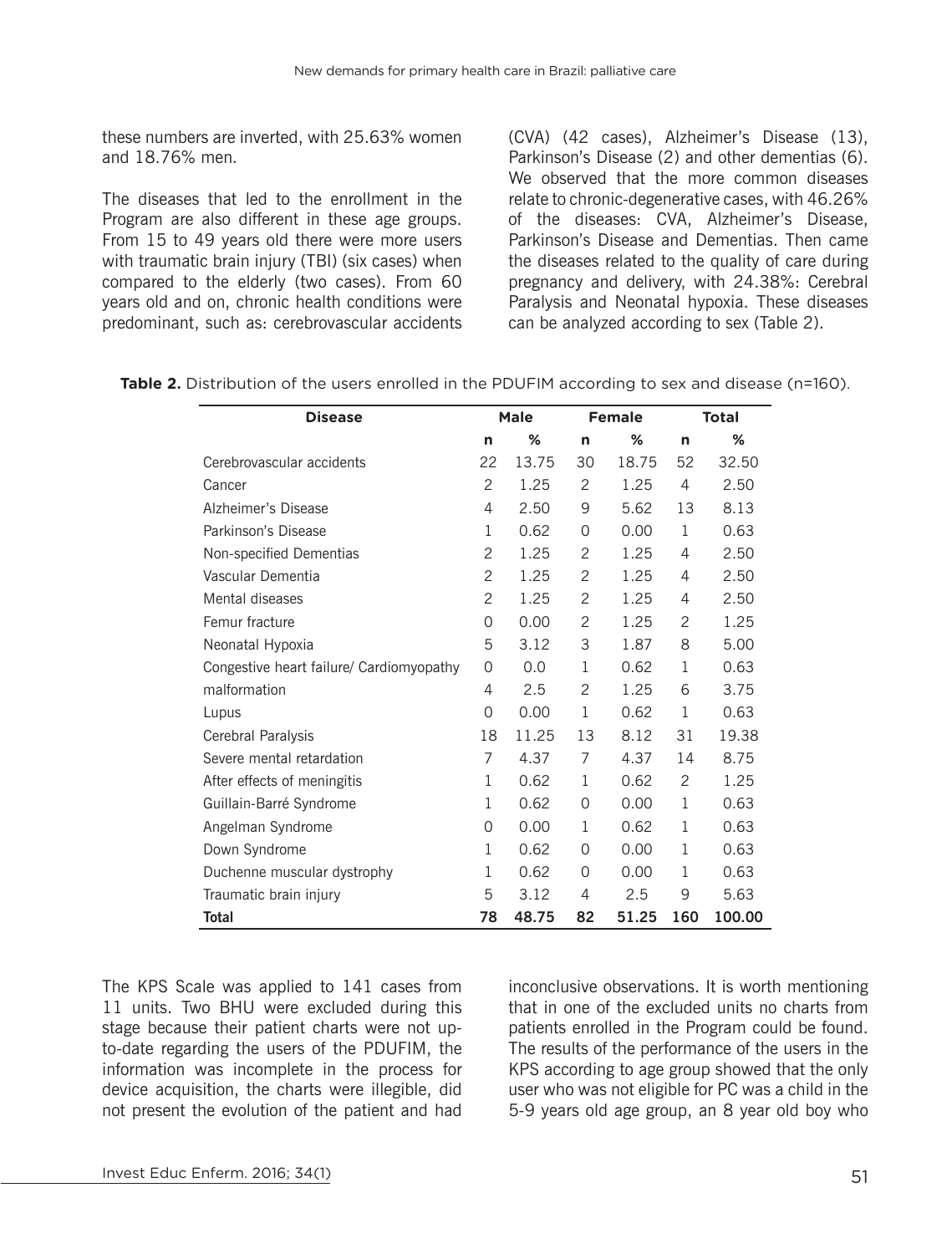these numbers are inverted, with 25.63% women and 18.76% men.

The diseases that led to the enrollment in the Program are also different in these age groups. From 15 to 49 years old there were more users with traumatic brain injury (TBI) (six cases) when compared to the elderly (two cases). From 60 years old and on, chronic health conditions were predominant, such as: cerebrovascular accidents (CVA) (42 cases), Alzheimer's Disease (13), Parkinson's Disease (2) and other dementias (6). We observed that the more common diseases relate to chronic-degenerative cases, with 46.26% of the diseases: CVA, Alzheimer's Disease, Parkinson's Disease and Dementias. Then came the diseases related to the quality of care during pregnancy and delivery, with 24.38%: Cerebral Paralysis and Neonatal hypoxia. These diseases can be analyzed according to sex (Table 2).

| <b>Disease</b>                           |    | <b>Male</b> |          | <b>Female</b> | <b>Total</b> |        |  |
|------------------------------------------|----|-------------|----------|---------------|--------------|--------|--|
|                                          | n  | %           | n        | %             | n            | %      |  |
| Cerebrovascular accidents                | 22 | 13.75       | 30       | 18.75         | 52           | 32.50  |  |
| Cancer                                   | 2  | 1.25        | 2        | 1.25          | 4            | 2.50   |  |
| Alzheimer's Disease                      | 4  | 2.50        | 9        | 5.62          | 13           | 8.13   |  |
| Parkinson's Disease                      | 1  | 0.62        | 0        | 0.00          | $\mathbf 1$  | 0.63   |  |
| Non-specified Dementias                  | 2  | 1.25        | 2        | 1.25          | 4            | 2.50   |  |
| Vascular Dementia                        | 2  | 1.25        | 2        | 1.25          | 4            | 2.50   |  |
| Mental diseases                          | 2  | 1.25        | 2        | 1.25          | 4            | 2.50   |  |
| Femur fracture                           | 0  | 0.00        | 2        | 1.25          | 2            | 1.25   |  |
| Neonatal Hypoxia                         | 5  | 3.12        | 3        | 1.87          | 8            | 5.00   |  |
| Congestive heart failure/ Cardiomyopathy | 0  | 0.0         | 1        | 0.62          | 1            | 0.63   |  |
| malformation                             | 4  | 2.5         | 2        | 1.25          | 6            | 3.75   |  |
| Lupus                                    | 0  | 0.00        | 1        | 0.62          | 1            | 0.63   |  |
| Cerebral Paralysis                       | 18 | 11.25       | 13       | 8.12          | 31           | 19.38  |  |
| Severe mental retardation                | 7  | 4.37        | 7        | 4.37          | 14           | 8.75   |  |
| After effects of meningitis              | 1  | 0.62        | 1        | 0.62          | 2            | 1.25   |  |
| Guillain-Barré Syndrome                  | 1  | 0.62        | $\Omega$ | 0.00          | 1            | 0.63   |  |
| Angelman Syndrome                        | 0  | 0.00        | 1        | 0.62          | 1            | 0.63   |  |
| Down Syndrome                            | 1  | 0.62        | 0        | 0.00          | 1            | 0.63   |  |
| Duchenne muscular dystrophy              | 1  | 0.62        | $\Omega$ | 0.00          | 1            | 0.63   |  |
| Traumatic brain injury                   | 5  | 3.12        | 4        | 2.5           | 9            | 5.63   |  |
| Total                                    | 78 | 48.75       | 82       | 51.25         | 160          | 100.00 |  |

**Table 2.** Distribution of the users enrolled in the PDUFIM according to sex and disease (n=160).

The KPS Scale was applied to 141 cases from 11 units. Two BHU were excluded during this stage because their patient charts were not upto-date regarding the users of the PDUFIM, the information was incomplete in the process for device acquisition, the charts were illegible, did not present the evolution of the patient and had inconclusive observations. It is worth mentioning that in one of the excluded units no charts from patients enrolled in the Program could be found. The results of the performance of the users in the KPS according to age group showed that the only user who was not eligible for PC was a child in the 5-9 years old age group, an 8 year old boy who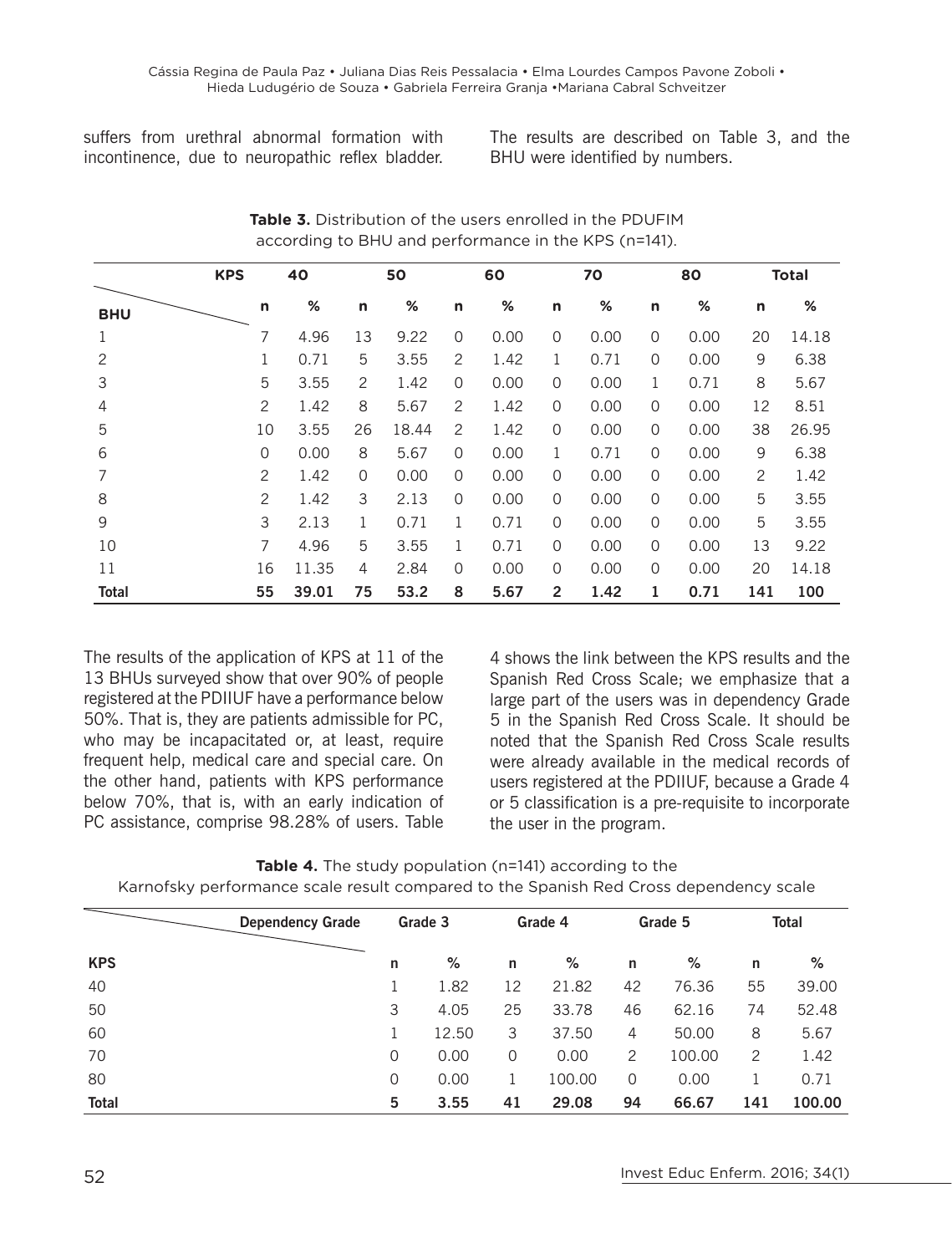suffers from urethral abnormal formation with incontinence, due to neuropathic reflex bladder.

The results are described on Table 3, and the BHU were identified by numbers.

|            | <b>KPS</b> |          | 40    | 50 |       | 60           |      | 70             |      | 80       |      | <b>Total</b> |       |
|------------|------------|----------|-------|----|-------|--------------|------|----------------|------|----------|------|--------------|-------|
| <b>BHU</b> |            | n        | %     | n  | %     | $\mathsf{n}$ | %    | n              | %    | n        | %    | n            | %     |
| 1          |            | 7        | 4.96  | 13 | 9.22  | 0            | 0.00 | 0              | 0.00 | 0        | 0.00 | 20           | 14.18 |
| 2          |            |          | 0.71  | 5  | 3.55  | 2            | 1.42 | 1              | 0.71 | 0        | 0.00 | 9            | 6.38  |
| 3          |            | 5        | 3.55  | 2  | 1.42  | 0            | 0.00 | 0              | 0.00 | 1        | 0.71 | 8            | 5.67  |
| 4          |            | 2        | 1.42  | 8  | 5.67  | 2            | 1.42 | $\mathbf 0$    | 0.00 | 0        | 0.00 | 12           | 8.51  |
| 5          |            | 10       | 3.55  | 26 | 18.44 | 2            | 1.42 | $\mathbf 0$    | 0.00 | 0        | 0.00 | 38           | 26.95 |
| 6          |            | $\Omega$ | 0.00  | 8  | 5.67  | $\mathbf 0$  | 0.00 | 1              | 0.71 | 0        | 0.00 | 9            | 6.38  |
| 7          |            | 2        | 1.42  | 0  | 0.00  | 0            | 0.00 | 0              | 0.00 | 0        | 0.00 | 2            | 1.42  |
| 8          |            | 2        | 1.42  | 3  | 2.13  | $\Omega$     | 0.00 | $\Omega$       | 0.00 | $\Omega$ | 0.00 | 5            | 3.55  |
| 9          |            | 3        | 2.13  | 1  | 0.71  | 1            | 0.71 | $\mathbf 0$    | 0.00 | 0        | 0.00 | 5            | 3.55  |
| 10         |            | 7        | 4.96  | 5  | 3.55  | 1            | 0.71 | $\Omega$       | 0.00 | $\Omega$ | 0.00 | 13           | 9.22  |
| 11         |            | 16       | 11.35 | 4  | 2.84  | 0            | 0.00 | $\overline{0}$ | 0.00 | 0        | 0.00 | 20           | 14.18 |
| Total      |            | 55       | 39.01 | 75 | 53.2  | 8            | 5.67 | $\overline{2}$ | 1.42 | 1        | 0.71 | 141          | 100   |

**Table 3.** Distribution of the users enrolled in the PDUFIM according to BHU and performance in the KPS (n=141).

The results of the application of KPS at 11 of the 13 BHUs surveyed show that over 90% of people registered at the PDIIUF have a performance below 50%. That is, they are patients admissible for PC, who may be incapacitated or, at least, require frequent help, medical care and special care. On the other hand, patients with KPS performance below 70%, that is, with an early indication of PC assistance, comprise 98.28% of users. Table

4 shows the link between the KPS results and the Spanish Red Cross Scale; we emphasize that a large part of the users was in dependency Grade 5 in the Spanish Red Cross Scale. It should be noted that the Spanish Red Cross Scale results were already available in the medical records of users registered at the PDIIUF, because a Grade 4 or 5 classification is a pre-requisite to incorporate the user in the program.

#### **Table 4.** The study population (n=141) according to the Karnofsky performance scale result compared to the Spanish Red Cross dependency scale

|              | <b>Dependency Grade</b> | Grade 3 |       | Grade 4 |        | Grade 5        |        | <b>Total</b> |        |
|--------------|-------------------------|---------|-------|---------|--------|----------------|--------|--------------|--------|
| <b>KPS</b>   |                         | n       | %     | n       | %      | n              | %      | n            | %      |
| 40           |                         |         | 1.82  | 12      | 21.82  | 42             | 76.36  | 55           | 39.00  |
| 50           |                         | 3       | 4.05  | 25      | 33.78  | 46             | 62.16  | 74           | 52.48  |
| 60           |                         |         | 12.50 | 3       | 37.50  | $\overline{4}$ | 50.00  | 8            | 5.67   |
| 70           |                         | 0       | 0.00  | 0       | 0.00   | 2              | 100.00 | 2            | 1.42   |
| 80           |                         | 0       | 0.00  |         | 100.00 | 0              | 0.00   |              | 0.71   |
| <b>Total</b> |                         | 5       | 3.55  | 41      | 29.08  | 94             | 66.67  | 141          | 100.00 |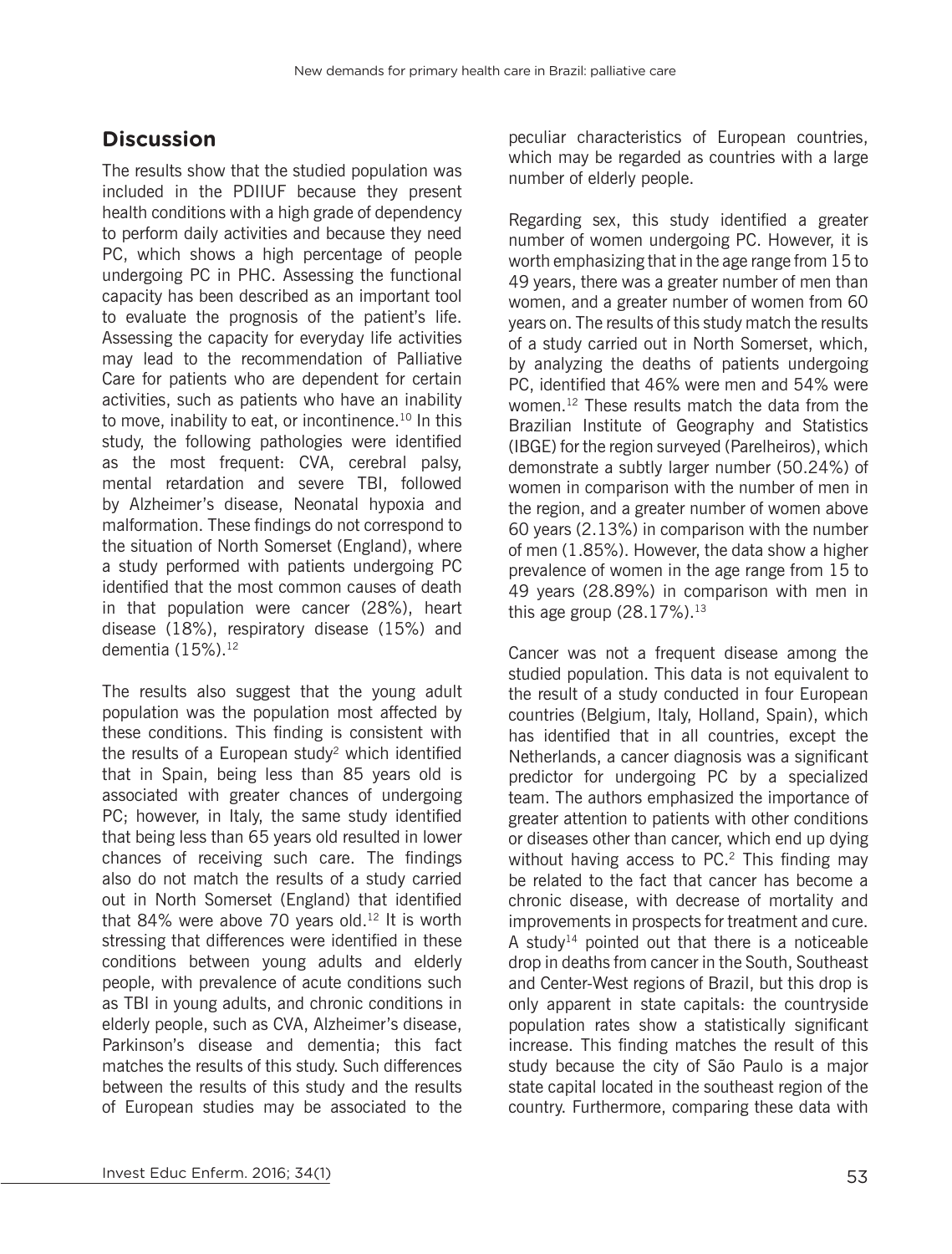# **Discussion**

The results show that the studied population was included in the PDIIUF because they present health conditions with a high grade of dependency to perform daily activities and because they need PC, which shows a high percentage of people undergoing PC in PHC. Assessing the functional capacity has been described as an important tool to evaluate the prognosis of the patient's life. Assessing the capacity for everyday life activities may lead to the recommendation of Palliative Care for patients who are dependent for certain activities, such as patients who have an inability to move, inability to eat, or incontinence.<sup>10</sup> In this study, the following pathologies were identified as the most frequent: CVA, cerebral palsy, mental retardation and severe TBI, followed by Alzheimer's disease, Neonatal hypoxia and malformation. These findings do not correspond to the situation of North Somerset (England), where a study performed with patients undergoing PC identified that the most common causes of death in that population were cancer (28%), heart disease (18%), respiratory disease (15%) and dementia (15%).<sup>12</sup>

The results also suggest that the young adult population was the population most affected by these conditions. This finding is consistent with the results of a European study<sup>2</sup> which identified that in Spain, being less than 85 years old is associated with greater chances of undergoing PC; however, in Italy, the same study identified that being less than 65 years old resulted in lower chances of receiving such care. The findings also do not match the results of a study carried out in North Somerset (England) that identified that 84% were above 70 years old.<sup>12</sup> It is worth stressing that differences were identified in these conditions between young adults and elderly people, with prevalence of acute conditions such as TBI in young adults, and chronic conditions in elderly people, such as CVA, Alzheimer's disease, Parkinson's disease and dementia; this fact matches the results of this study. Such differences between the results of this study and the results of European studies may be associated to the

peculiar characteristics of European countries, which may be regarded as countries with a large number of elderly people.

Regarding sex, this study identified a greater number of women undergoing PC. However, it is worth emphasizing that in the age range from 15 to 49 years, there was a greater number of men than women, and a greater number of women from 60 years on. The results of this study match the results of a study carried out in North Somerset, which, by analyzing the deaths of patients undergoing PC, identified that 46% were men and 54% were women.12 These results match the data from the Brazilian Institute of Geography and Statistics (IBGE) for the region surveyed (Parelheiros), which demonstrate a subtly larger number (50.24%) of women in comparison with the number of men in the region, and a greater number of women above 60 years (2.13%) in comparison with the number of men (1.85%). However, the data show a higher prevalence of women in the age range from 15 to 49 years (28.89%) in comparison with men in this age group  $(28.17\%)$ .<sup>13</sup>

Cancer was not a frequent disease among the studied population. This data is not equivalent to the result of a study conducted in four European countries (Belgium, Italy, Holland, Spain), which has identified that in all countries, except the Netherlands, a cancer diagnosis was a significant predictor for undergoing PC by a specialized team. The authors emphasized the importance of greater attention to patients with other conditions or diseases other than cancer, which end up dying without having access to PC.<sup>2</sup> This finding may be related to the fact that cancer has become a chronic disease, with decrease of mortality and improvements in prospects for treatment and cure. A study<sup>14</sup> pointed out that there is a noticeable drop in deaths from cancer in the South, Southeast and Center-West regions of Brazil, but this drop is only apparent in state capitals: the countryside population rates show a statistically significant increase. This finding matches the result of this study because the city of São Paulo is a major state capital located in the southeast region of the country. Furthermore, comparing these data with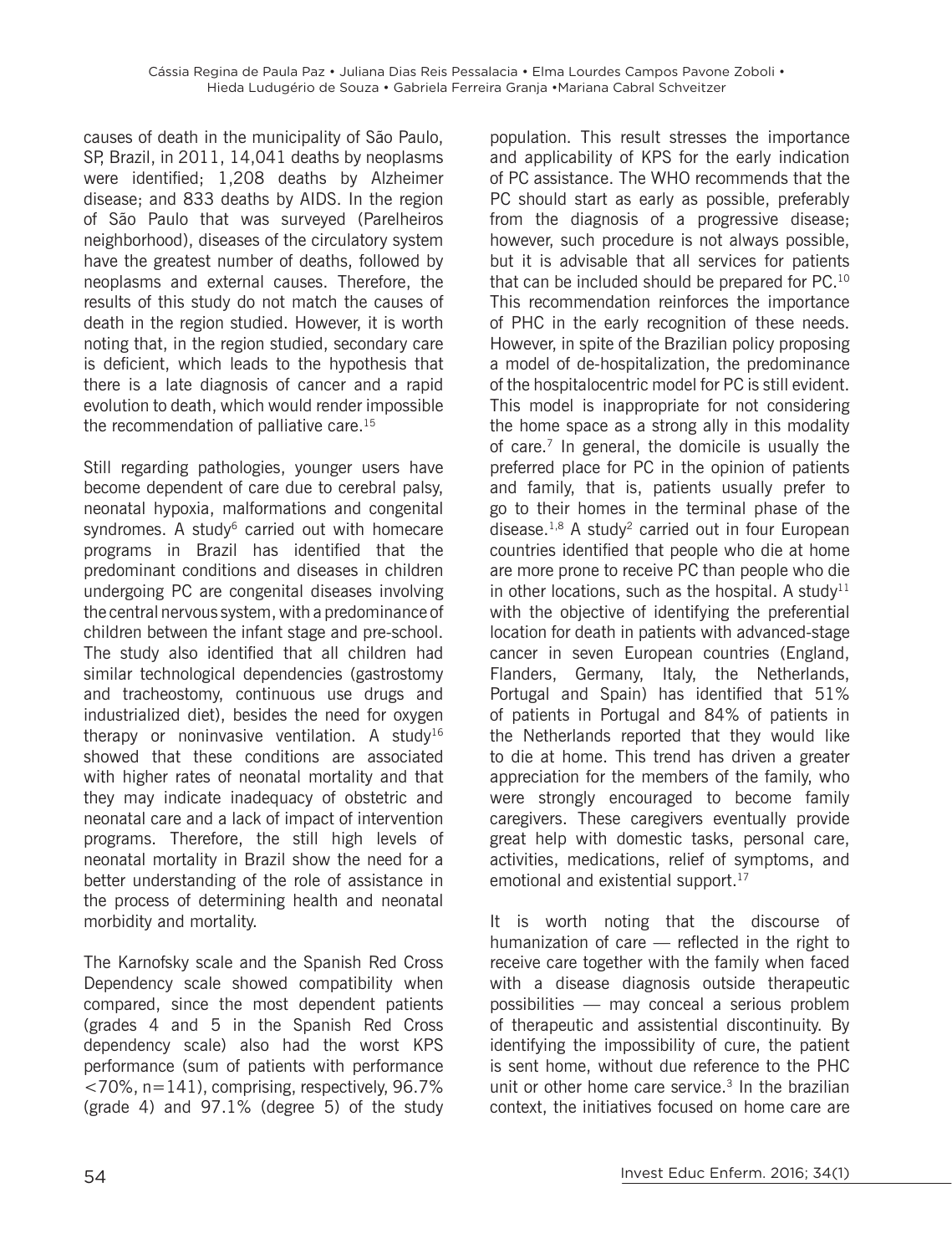causes of death in the municipality of São Paulo, SP, Brazil, in 2011, 14,041 deaths by neoplasms were identified; 1,208 deaths by Alzheimer disease; and 833 deaths by AIDS. In the region of São Paulo that was surveyed (Parelheiros neighborhood), diseases of the circulatory system have the greatest number of deaths, followed by neoplasms and external causes. Therefore, the results of this study do not match the causes of death in the region studied. However, it is worth noting that, in the region studied, secondary care is deficient, which leads to the hypothesis that there is a late diagnosis of cancer and a rapid evolution to death, which would render impossible the recommendation of palliative care.<sup>15</sup>

Still regarding pathologies, younger users have become dependent of care due to cerebral palsy, neonatal hypoxia, malformations and congenital syndromes. A study $6$  carried out with homecare programs in Brazil has identified that the predominant conditions and diseases in children undergoing PC are congenital diseases involving the central nervous system, with a predominance of children between the infant stage and pre-school. The study also identified that all children had similar technological dependencies (gastrostomy and tracheostomy, continuous use drugs and industrialized diet), besides the need for oxygen therapy or noninvasive ventilation. A study<sup>16</sup> showed that these conditions are associated with higher rates of neonatal mortality and that they may indicate inadequacy of obstetric and neonatal care and a lack of impact of intervention programs. Therefore, the still high levels of neonatal mortality in Brazil show the need for a better understanding of the role of assistance in the process of determining health and neonatal morbidity and mortality.

The Karnofsky scale and the Spanish Red Cross Dependency scale showed compatibility when compared, since the most dependent patients (grades 4 and 5 in the Spanish Red Cross dependency scale) also had the worst KPS performance (sum of patients with performance <70%, n=141), comprising, respectively, 96.7% (grade 4) and 97.1% (degree 5) of the study population. This result stresses the importance and applicability of KPS for the early indication of PC assistance. The WHO recommends that the PC should start as early as possible, preferably from the diagnosis of a progressive disease; however, such procedure is not always possible, but it is advisable that all services for patients that can be included should be prepared for PC.<sup>10</sup> This recommendation reinforces the importance of PHC in the early recognition of these needs. However, in spite of the Brazilian policy proposing a model of de-hospitalization, the predominance of the hospitalocentric model for PC is still evident. This model is inappropriate for not considering the home space as a strong ally in this modality of care.7 In general, the domicile is usually the preferred place for PC in the opinion of patients and family, that is, patients usually prefer to go to their homes in the terminal phase of the disease.<sup>1,8</sup> A study<sup>2</sup> carried out in four European countries identified that people who die at home are more prone to receive PC than people who die in other locations, such as the hospital. A study<sup>11</sup> with the objective of identifying the preferential location for death in patients with advanced-stage cancer in seven European countries (England, Flanders, Germany, Italy, the Netherlands, Portugal and Spain) has identified that 51% of patients in Portugal and 84% of patients in the Netherlands reported that they would like to die at home. This trend has driven a greater appreciation for the members of the family, who were strongly encouraged to become family caregivers. These caregivers eventually provide great help with domestic tasks, personal care, activities, medications, relief of symptoms, and emotional and existential support.<sup>17</sup>

It is worth noting that the discourse of humanization of care — reflected in the right to receive care together with the family when faced with a disease diagnosis outside therapeutic possibilities — may conceal a serious problem of therapeutic and assistential discontinuity. By identifying the impossibility of cure, the patient is sent home, without due reference to the PHC unit or other home care service.<sup>3</sup> In the brazilian context, the initiatives focused on home care are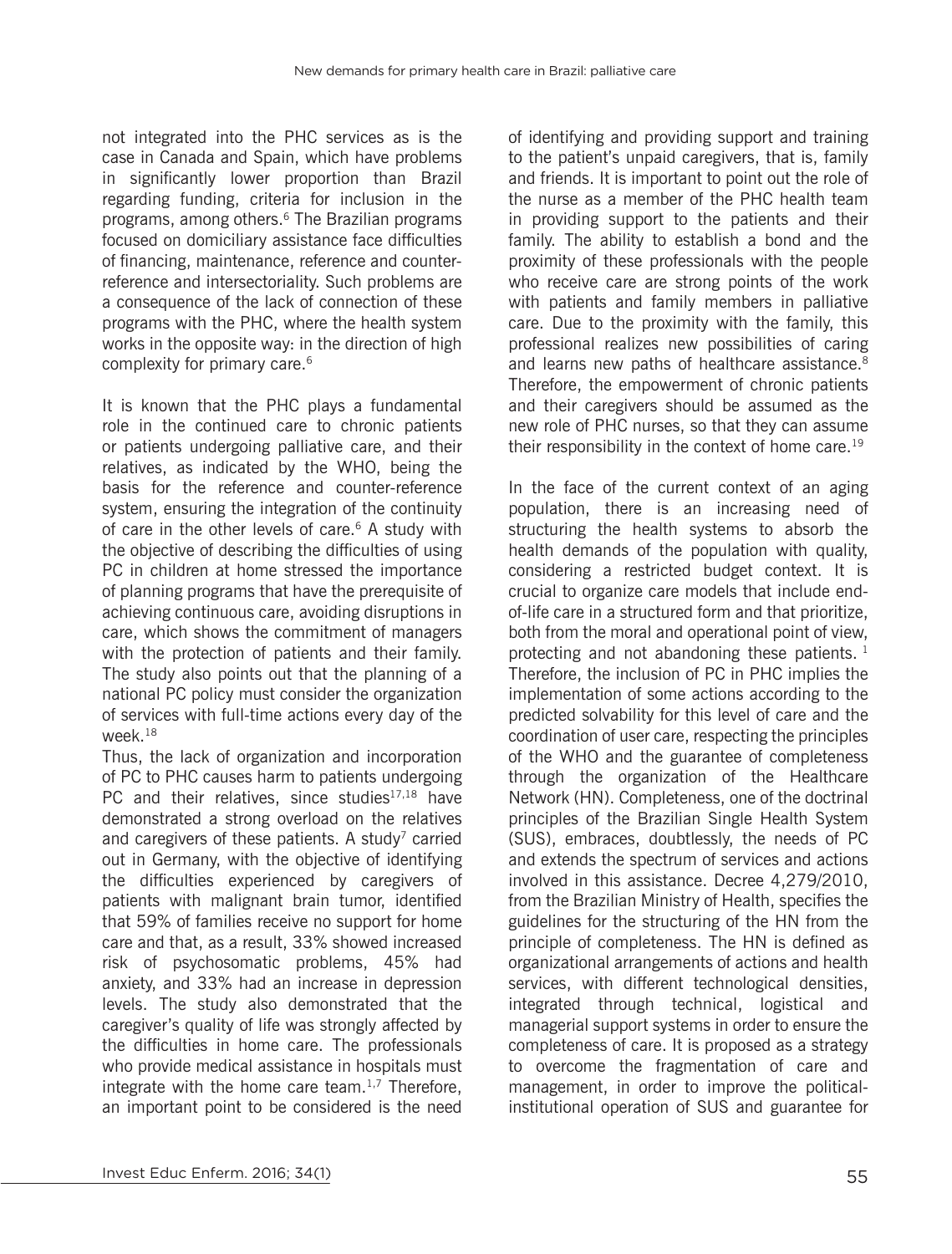not integrated into the PHC services as is the case in Canada and Spain, which have problems in significantly lower proportion than Brazil regarding funding, criteria for inclusion in the programs, among others.6 The Brazilian programs focused on domiciliary assistance face difficulties of financing, maintenance, reference and counterreference and intersectoriality. Such problems are a consequence of the lack of connection of these programs with the PHC, where the health system works in the opposite way: in the direction of high complexity for primary care.<sup>6</sup>

It is known that the PHC plays a fundamental role in the continued care to chronic patients or patients undergoing palliative care, and their relatives, as indicated by the WHO, being the basis for the reference and counter-reference system, ensuring the integration of the continuity of care in the other levels of care. $6$  A study with the objective of describing the difficulties of using PC in children at home stressed the importance of planning programs that have the prerequisite of achieving continuous care, avoiding disruptions in care, which shows the commitment of managers with the protection of patients and their family. The study also points out that the planning of a national PC policy must consider the organization of services with full-time actions every day of the week.18

Thus, the lack of organization and incorporation of PC to PHC causes harm to patients undergoing PC and their relatives, since studies $17,18$  have demonstrated a strong overload on the relatives and caregivers of these patients. A study<sup>7</sup> carried out in Germany, with the objective of identifying the difficulties experienced by caregivers of patients with malignant brain tumor, identified that 59% of families receive no support for home care and that, as a result, 33% showed increased risk of psychosomatic problems, 45% had anxiety, and 33% had an increase in depression levels. The study also demonstrated that the caregiver's quality of life was strongly affected by the difficulties in home care. The professionals who provide medical assistance in hospitals must integrate with the home care team. $1,7$  Therefore, an important point to be considered is the need

of identifying and providing support and training to the patient's unpaid caregivers, that is, family and friends. It is important to point out the role of the nurse as a member of the PHC health team in providing support to the patients and their family. The ability to establish a bond and the proximity of these professionals with the people who receive care are strong points of the work with patients and family members in palliative care. Due to the proximity with the family, this professional realizes new possibilities of caring and learns new paths of healthcare assistance.<sup>8</sup> Therefore, the empowerment of chronic patients and their caregivers should be assumed as the new role of PHC nurses, so that they can assume their responsibility in the context of home care.<sup>19</sup>

In the face of the current context of an aging population, there is an increasing need of structuring the health systems to absorb the health demands of the population with quality, considering a restricted budget context. It is crucial to organize care models that include endof-life care in a structured form and that prioritize, both from the moral and operational point of view, protecting and not abandoning these patients. 1 Therefore, the inclusion of PC in PHC implies the implementation of some actions according to the predicted solvability for this level of care and the coordination of user care, respecting the principles of the WHO and the guarantee of completeness through the organization of the Healthcare Network (HN). Completeness, one of the doctrinal principles of the Brazilian Single Health System (SUS), embraces, doubtlessly, the needs of PC and extends the spectrum of services and actions involved in this assistance. Decree 4,279/2010, from the Brazilian Ministry of Health, specifies the guidelines for the structuring of the HN from the principle of completeness. The HN is defined as organizational arrangements of actions and health services, with different technological densities, integrated through technical, logistical and managerial support systems in order to ensure the completeness of care. It is proposed as a strategy to overcome the fragmentation of care and management, in order to improve the politicalinstitutional operation of SUS and guarantee for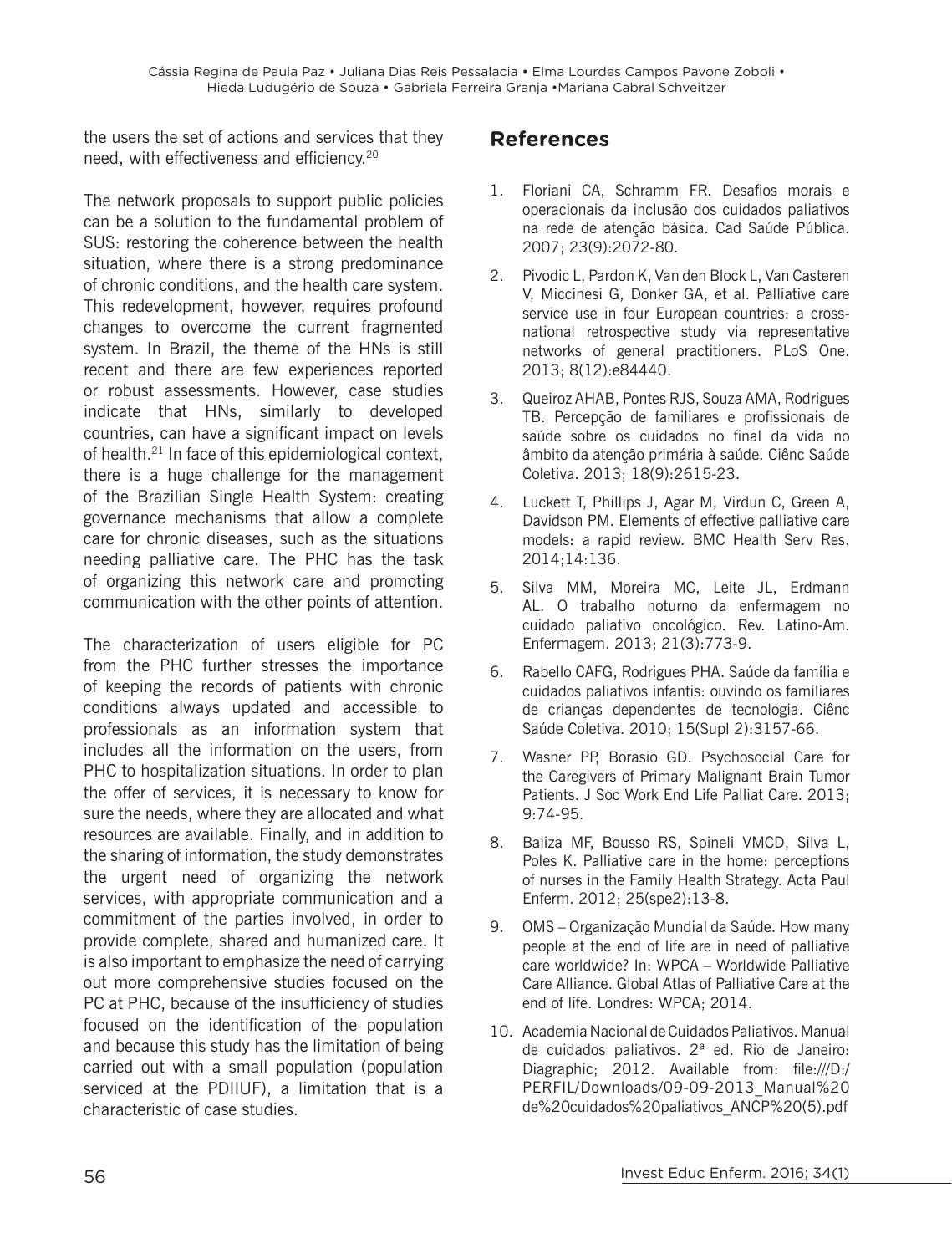the users the set of actions and services that they need, with effectiveness and efficiency.<sup>20</sup>

The network proposals to support public policies can be a solution to the fundamental problem of SUS: restoring the coherence between the health situation, where there is a strong predominance of chronic conditions, and the health care system. This redevelopment, however, requires profound changes to overcome the current fragmented system. In Brazil, the theme of the HNs is still recent and there are few experiences reported or robust assessments. However, case studies indicate that HNs, similarly to developed countries, can have a significant impact on levels of health.<sup>21</sup> In face of this epidemiological context, there is a huge challenge for the management of the Brazilian Single Health System: creating governance mechanisms that allow a complete care for chronic diseases, such as the situations needing palliative care. The PHC has the task of organizing this network care and promoting communication with the other points of attention.

The characterization of users eligible for PC from the PHC further stresses the importance of keeping the records of patients with chronic conditions always updated and accessible to professionals as an information system that includes all the information on the users, from PHC to hospitalization situations. In order to plan the offer of services, it is necessary to know for sure the needs, where they are allocated and what resources are available. Finally, and in addition to the sharing of information, the study demonstrates the urgent need of organizing the network services, with appropriate communication and a commitment of the parties involved, in order to provide complete, shared and humanized care. It is also important to emphasize the need of carrying out more comprehensive studies focused on the PC at PHC, because of the insufficiency of studies focused on the identification of the population and because this study has the limitation of being carried out with a small population (population serviced at the PDIIUF), a limitation that is a characteristic of case studies.

## **References**

- 1. Floriani CA, Schramm FR. Desafios morais e operacionais da inclusão dos cuidados paliativos na rede de atenção básica. Cad Saúde Pública. 2007; 23(9):2072-80.
- 2. Pivodic L, Pardon K, Van den Block L, Van Casteren V, Miccinesi G, Donker GA, et al. Palliative care service use in four European countries: a crossnational retrospective study via representative networks of general practitioners. PLoS One. 2013; 8(12):e84440.
- 3. Queiroz AHAB, Pontes RJS, Souza AMA, Rodrigues TB. Percepção de familiares e profissionais de saúde sobre os cuidados no final da vida no âmbito da atenção primária à saúde. Ciênc Saúde Coletiva. 2013; 18(9):2615-23.
- 4. Luckett T, Phillips J, Agar M, Virdun C, Green A, Davidson PM. Elements of effective palliative care models: a rapid review. BMC Health Serv Res. 2014;14:136.
- 5. Silva MM, Moreira MC, Leite JL, Erdmann AL. O trabalho noturno da enfermagem no cuidado paliativo oncológico. Rev. Latino-Am. Enfermagem. 2013; 21(3):773-9.
- 6. Rabello CAFG, Rodrigues PHA. Saúde da família e cuidados paliativos infantis: ouvindo os familiares de crianças dependentes de tecnologia. Ciênc Saúde Coletiva. 2010; 15(Supl 2):3157-66.
- 7. Wasner PP, Borasio GD. Psychosocial Care for the Caregivers of Primary Malignant Brain Tumor Patients. J Soc Work End Life Palliat Care. 2013; 9:74-95.
- 8. Baliza MF, Bousso RS, Spineli VMCD, Silva L, Poles K. Palliative care in the home: perceptions of nurses in the Family Health Strategy. Acta Paul Enferm. 2012; 25(spe2):13-8.
- 9. OMS Organização Mundial da Saúde. How many people at the end of life are in need of palliative care worldwide? In: WPCA – Worldwide Palliative Care Alliance. Global Atlas of Palliative Care at the end of life. Londres: WPCA; 2014.
- 10. Academia Nacional de Cuidados Paliativos. Manual de cuidados paliativos. 2ª ed. Rio de Janeiro: Diagraphic; 2012. Available from: file:///D:/ PERFIL/Downloads/09-09-2013 Manual%20 de%20cuidados%20paliativos\_ANCP%20(5).pdf